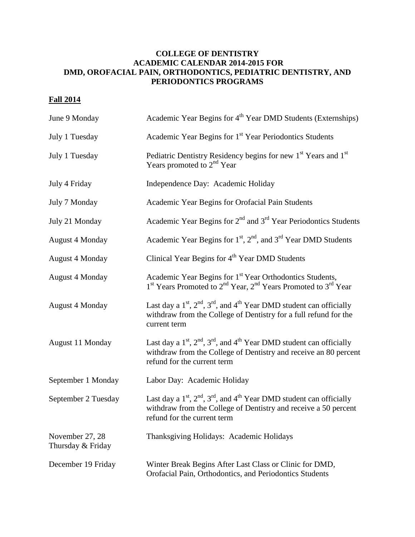## **COLLEGE OF DENTISTRY ACADEMIC CALENDAR 2014-2015 FOR DMD, OROFACIAL PAIN, ORTHODONTICS, PEDIATRIC DENTISTRY, AND PERIODONTICS PROGRAMS**

## **Fall 2014**

| June 9 Monday                        | Academic Year Begins for 4 <sup>th</sup> Year DMD Students (Externships)                                                                                                               |
|--------------------------------------|----------------------------------------------------------------------------------------------------------------------------------------------------------------------------------------|
| July 1 Tuesday                       | Academic Year Begins for 1 <sup>st</sup> Year Periodontics Students                                                                                                                    |
| July 1 Tuesday                       | Pediatric Dentistry Residency begins for new 1 <sup>st</sup> Years and 1 <sup>st</sup><br>Years promoted to 2 <sup>nd</sup> Year                                                       |
| July 4 Friday                        | Independence Day: Academic Holiday                                                                                                                                                     |
| July 7 Monday                        | Academic Year Begins for Orofacial Pain Students                                                                                                                                       |
| July 21 Monday                       | Academic Year Begins for $2nd$ and $3rd$ Year Periodontics Students                                                                                                                    |
| <b>August 4 Monday</b>               | Academic Year Begins for $1st$ , $2nd$ , and $3rd$ Year DMD Students                                                                                                                   |
| <b>August 4 Monday</b>               | Clinical Year Begins for 4 <sup>th</sup> Year DMD Students                                                                                                                             |
| <b>August 4 Monday</b>               | Academic Year Begins for 1 <sup>st</sup> Year Orthodontics Students,<br>1 <sup>st</sup> Years Promoted to 2 <sup>nd</sup> Year, 2 <sup>nd</sup> Years Promoted to 3 <sup>rd</sup> Year |
| <b>August 4 Monday</b>               | Last day a $1st$ , $2nd$ , $3rd$ , and $4th$ Year DMD student can officially<br>withdraw from the College of Dentistry for a full refund for the<br>current term                       |
| August 11 Monday                     | Last day a $1st$ , $2nd$ , $3rd$ , and $4th$ Year DMD student can officially<br>withdraw from the College of Dentistry and receive an 80 percent<br>refund for the current term        |
| September 1 Monday                   | Labor Day: Academic Holiday                                                                                                                                                            |
| September 2 Tuesday                  | Last day a $1st$ , $2nd$ , $3rd$ , and $4th$ Year DMD student can officially<br>withdraw from the College of Dentistry and receive a 50 percent<br>refund for the current term         |
| November 27, 28<br>Thursday & Friday | Thanksgiving Holidays: Academic Holidays                                                                                                                                               |
| December 19 Friday                   | Winter Break Begins After Last Class or Clinic for DMD,<br>Orofacial Pain, Orthodontics, and Periodontics Students                                                                     |